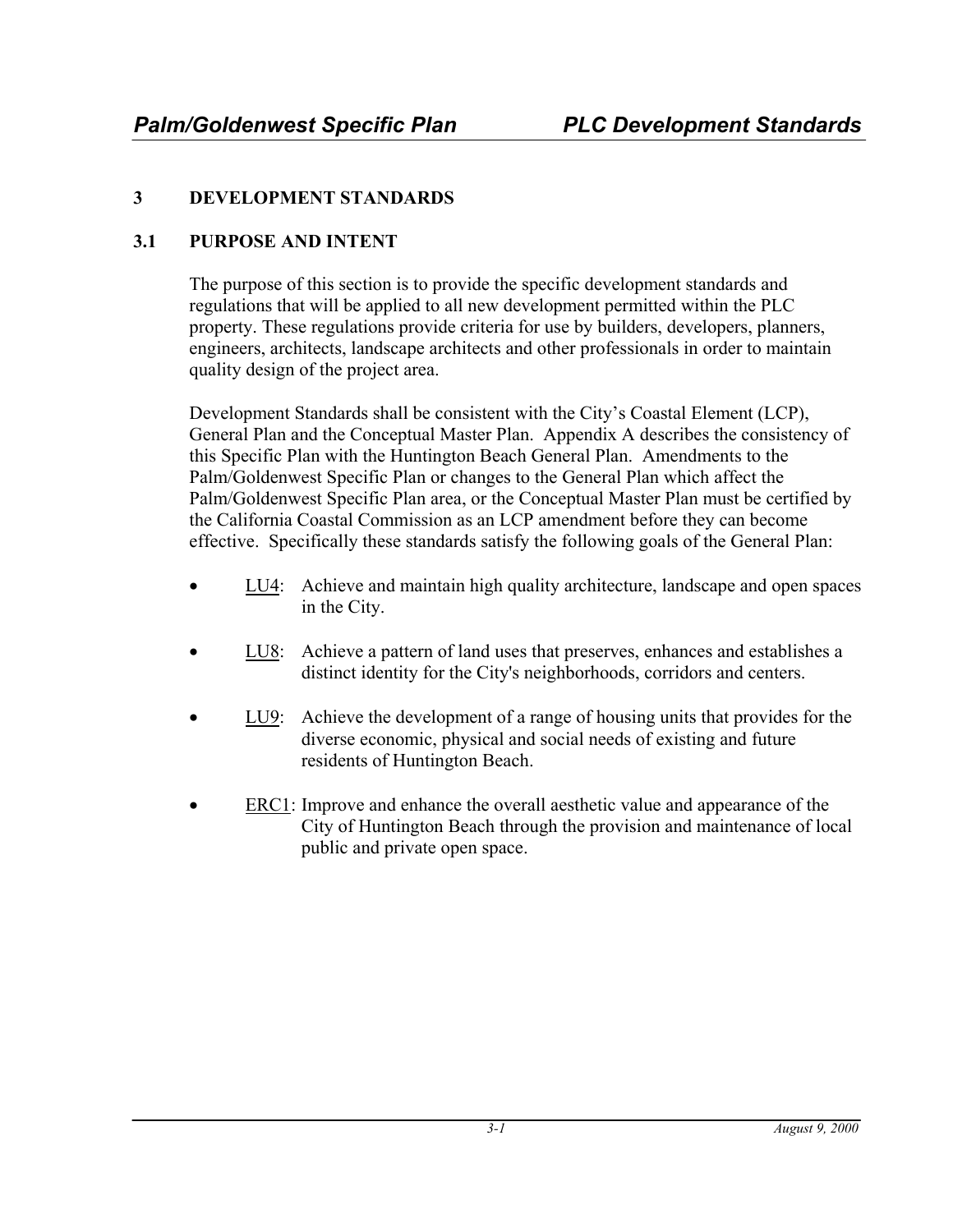## **3 DEVELOPMENT STANDARDS**

#### **3.1 PURPOSE AND INTENT**

The purpose of this section is to provide the specific development standards and regulations that will be applied to all new development permitted within the PLC property. These regulations provide criteria for use by builders, developers, planners, engineers, architects, landscape architects and other professionals in order to maintain quality design of the project area.

Development Standards shall be consistent with the City's Coastal Element (LCP), General Plan and the Conceptual Master Plan. Appendix A describes the consistency of this Specific Plan with the Huntington Beach General Plan. Amendments to the Palm/Goldenwest Specific Plan or changes to the General Plan which affect the Palm/Goldenwest Specific Plan area, or the Conceptual Master Plan must be certified by the California Coastal Commission as an LCP amendment before they can become effective. Specifically these standards satisfy the following goals of the General Plan:

- LU4: Achieve and maintain high quality architecture, landscape and open spaces in the City.
- LU8: Achieve a pattern of land uses that preserves, enhances and establishes a distinct identity for the City's neighborhoods, corridors and centers.
- LU9: Achieve the development of a range of housing units that provides for the diverse economic, physical and social needs of existing and future residents of Huntington Beach.
- ERC1: Improve and enhance the overall aesthetic value and appearance of the City of Huntington Beach through the provision and maintenance of local public and private open space.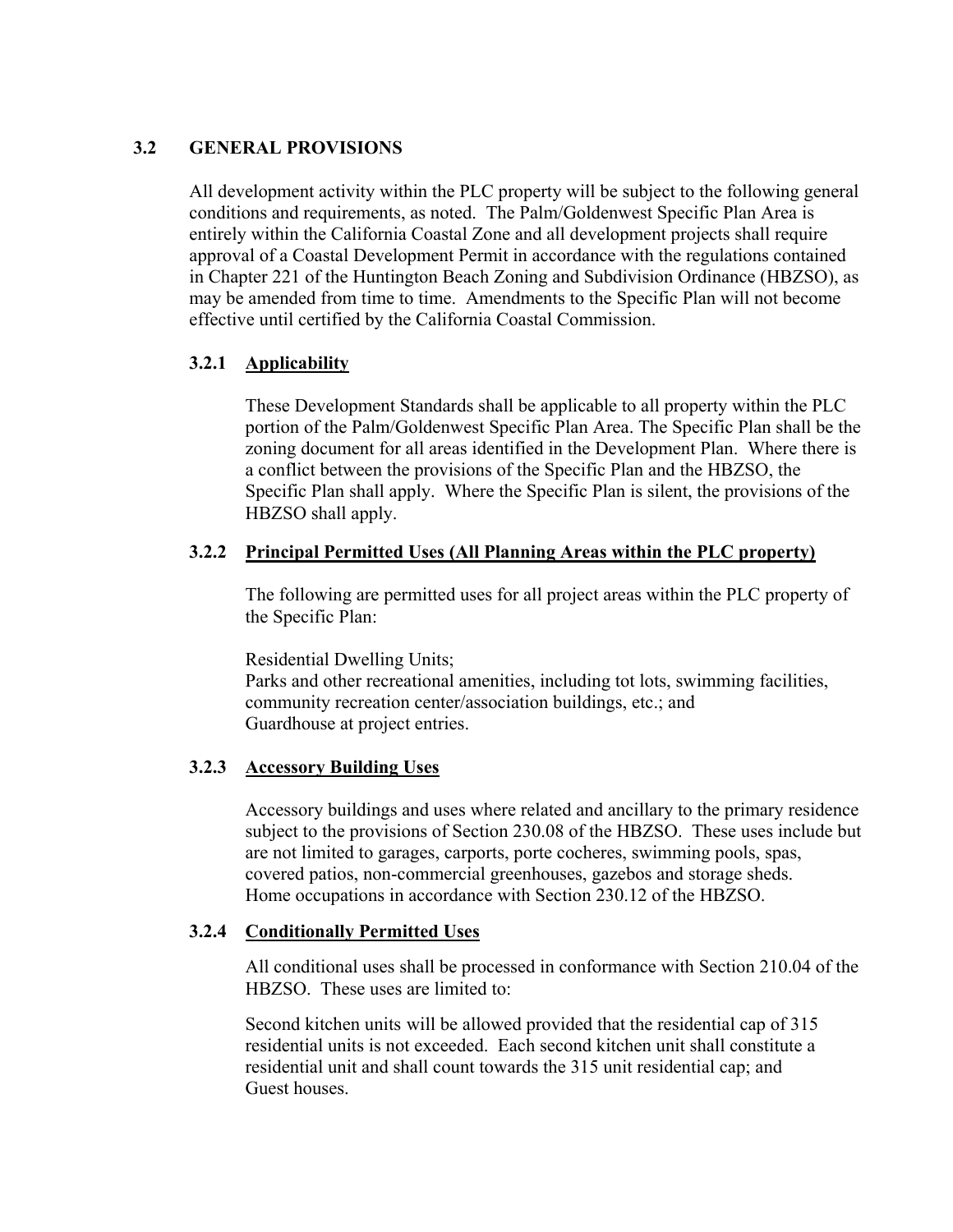#### **3.2 GENERAL PROVISIONS**

All development activity within the PLC property will be subject to the following general conditions and requirements, as noted. The Palm/Goldenwest Specific Plan Area is entirely within the California Coastal Zone and all development projects shall require approval of a Coastal Development Permit in accordance with the regulations contained in Chapter 221 of the Huntington Beach Zoning and Subdivision Ordinance (HBZSO), as may be amended from time to time. Amendments to the Specific Plan will not become effective until certified by the California Coastal Commission.

#### **3.2.1 Applicability**

These Development Standards shall be applicable to all property within the PLC portion of the Palm/Goldenwest Specific Plan Area. The Specific Plan shall be the zoning document for all areas identified in the Development Plan. Where there is a conflict between the provisions of the Specific Plan and the HBZSO, the Specific Plan shall apply. Where the Specific Plan is silent, the provisions of the HBZSO shall apply.

#### **3.2.2 Principal Permitted Uses (All Planning Areas within the PLC property)**

The following are permitted uses for all project areas within the PLC property of the Specific Plan:

Residential Dwelling Units;

Parks and other recreational amenities, including tot lots, swimming facilities, community recreation center/association buildings, etc.; and Guardhouse at project entries.

#### **3.2.3 Accessory Building Uses**

Accessory buildings and uses where related and ancillary to the primary residence subject to the provisions of Section 230.08 of the HBZSO. These uses include but are not limited to garages, carports, porte cocheres, swimming pools, spas, covered patios, non-commercial greenhouses, gazebos and storage sheds. Home occupations in accordance with Section 230.12 of the HBZSO.

#### **3.2.4 Conditionally Permitted Uses**

All conditional uses shall be processed in conformance with Section 210.04 of the HBZSO. These uses are limited to:

Second kitchen units will be allowed provided that the residential cap of 315 residential units is not exceeded. Each second kitchen unit shall constitute a residential unit and shall count towards the 315 unit residential cap; and Guest houses.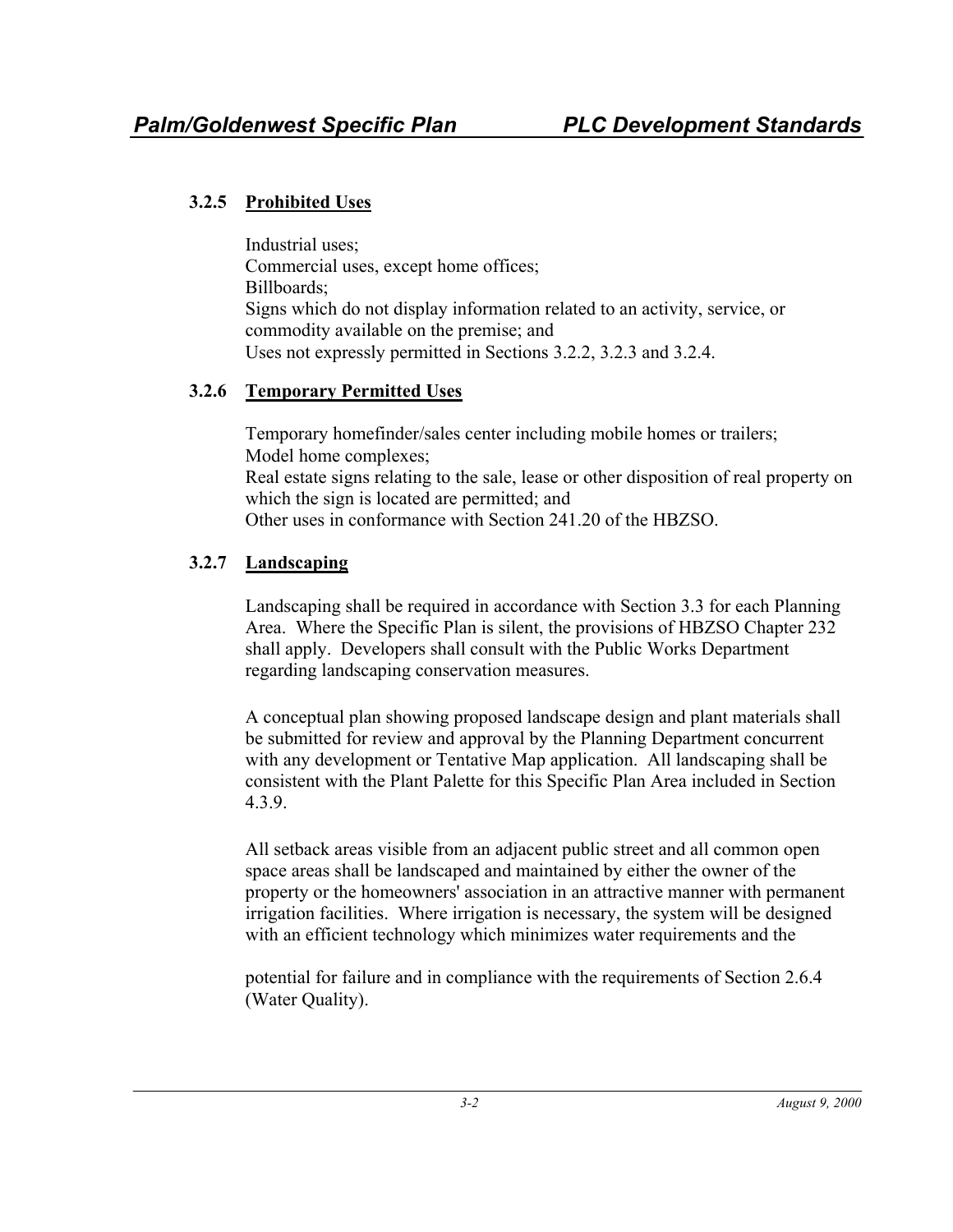## **3.2.5 Prohibited Uses**

Industrial uses; Commercial uses, except home offices; Billboards; Signs which do not display information related to an activity, service, or commodity available on the premise; and Uses not expressly permitted in Sections 3.2.2, 3.2.3 and 3.2.4.

## **3.2.6 Temporary Permitted Uses**

Temporary homefinder/sales center including mobile homes or trailers; Model home complexes; Real estate signs relating to the sale, lease or other disposition of real property on which the sign is located are permitted; and Other uses in conformance with Section 241.20 of the HBZSO.

# **3.2.7 Landscaping**

Landscaping shall be required in accordance with Section 3.3 for each Planning Area. Where the Specific Plan is silent, the provisions of HBZSO Chapter 232 shall apply. Developers shall consult with the Public Works Department regarding landscaping conservation measures.

A conceptual plan showing proposed landscape design and plant materials shall be submitted for review and approval by the Planning Department concurrent with any development or Tentative Map application. All landscaping shall be consistent with the Plant Palette for this Specific Plan Area included in Section 4.3.9.

All setback areas visible from an adjacent public street and all common open space areas shall be landscaped and maintained by either the owner of the property or the homeowners' association in an attractive manner with permanent irrigation facilities. Where irrigation is necessary, the system will be designed with an efficient technology which minimizes water requirements and the

potential for failure and in compliance with the requirements of Section 2.6.4 (Water Quality).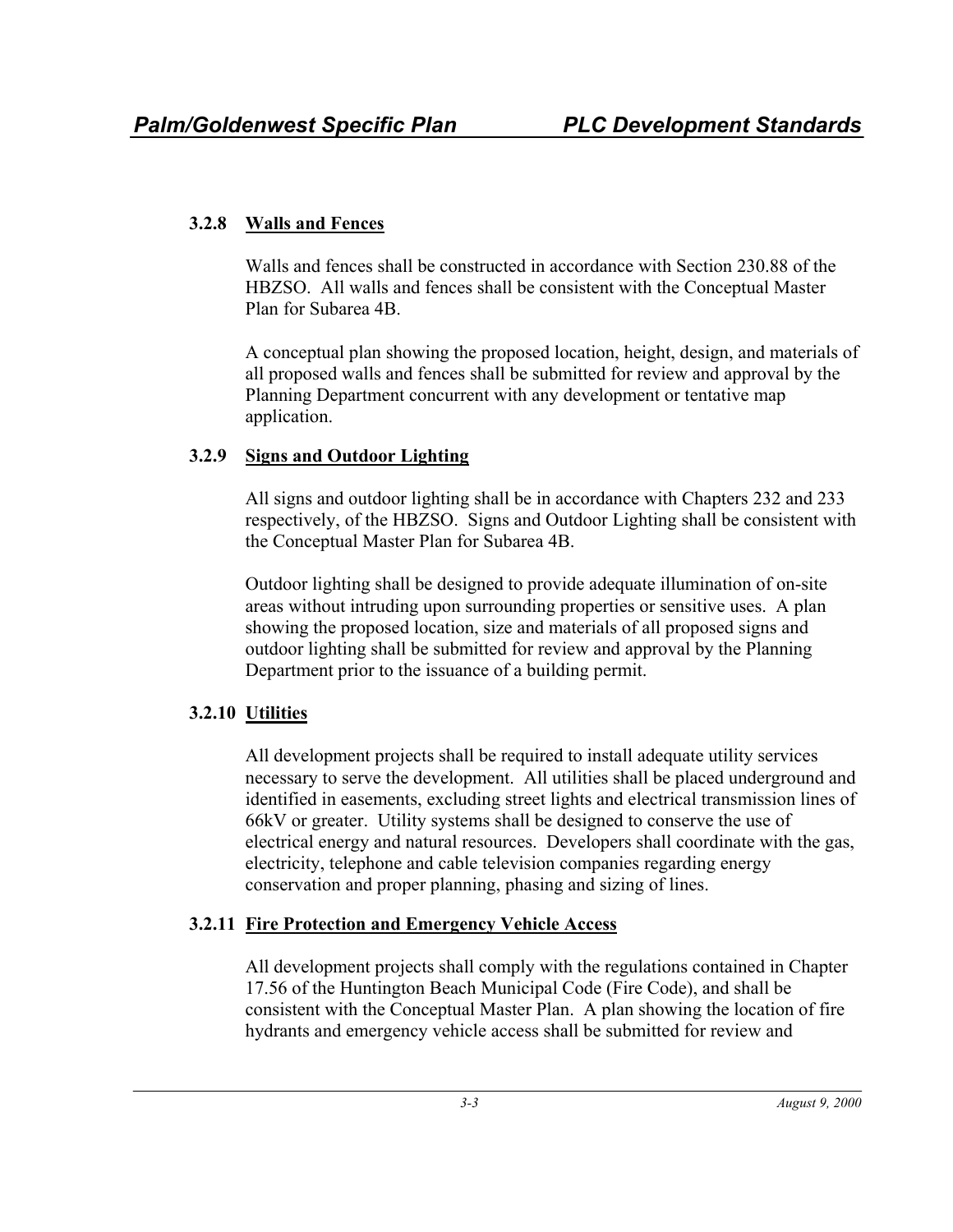### **3.2.8 Walls and Fences**

Walls and fences shall be constructed in accordance with Section 230.88 of the HBZSO. All walls and fences shall be consistent with the Conceptual Master Plan for Subarea 4B.

A conceptual plan showing the proposed location, height, design, and materials of all proposed walls and fences shall be submitted for review and approval by the Planning Department concurrent with any development or tentative map application.

## **3.2.9 Signs and Outdoor Lighting**

All signs and outdoor lighting shall be in accordance with Chapters 232 and 233 respectively, of the HBZSO. Signs and Outdoor Lighting shall be consistent with the Conceptual Master Plan for Subarea 4B.

Outdoor lighting shall be designed to provide adequate illumination of on-site areas without intruding upon surrounding properties or sensitive uses. A plan showing the proposed location, size and materials of all proposed signs and outdoor lighting shall be submitted for review and approval by the Planning Department prior to the issuance of a building permit.

# **3.2.10 Utilities**

All development projects shall be required to install adequate utility services necessary to serve the development. All utilities shall be placed underground and identified in easements, excluding street lights and electrical transmission lines of 66kV or greater. Utility systems shall be designed to conserve the use of electrical energy and natural resources. Developers shall coordinate with the gas, electricity, telephone and cable television companies regarding energy conservation and proper planning, phasing and sizing of lines.

## **3.2.11 Fire Protection and Emergency Vehicle Access**

All development projects shall comply with the regulations contained in Chapter 17.56 of the Huntington Beach Municipal Code (Fire Code), and shall be consistent with the Conceptual Master Plan. A plan showing the location of fire hydrants and emergency vehicle access shall be submitted for review and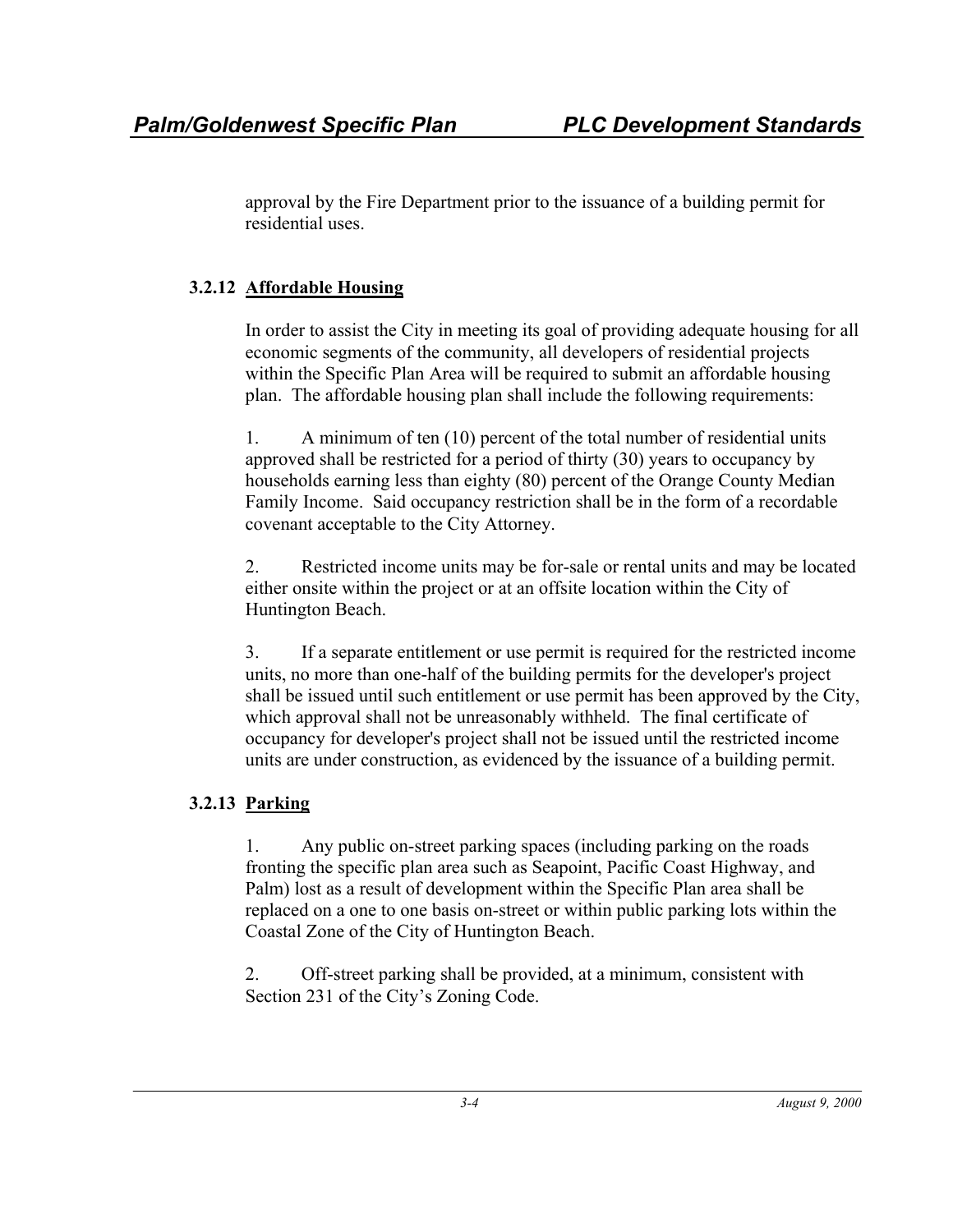approval by the Fire Department prior to the issuance of a building permit for residential uses.

## **3.2.12 Affordable Housing**

In order to assist the City in meeting its goal of providing adequate housing for all economic segments of the community, all developers of residential projects within the Specific Plan Area will be required to submit an affordable housing plan. The affordable housing plan shall include the following requirements:

1. A minimum of ten (10) percent of the total number of residential units approved shall be restricted for a period of thirty (30) years to occupancy by households earning less than eighty (80) percent of the Orange County Median Family Income. Said occupancy restriction shall be in the form of a recordable covenant acceptable to the City Attorney.

2. Restricted income units may be for-sale or rental units and may be located either onsite within the project or at an offsite location within the City of Huntington Beach.

3. If a separate entitlement or use permit is required for the restricted income units, no more than one-half of the building permits for the developer's project shall be issued until such entitlement or use permit has been approved by the City, which approval shall not be unreasonably withheld. The final certificate of occupancy for developer's project shall not be issued until the restricted income units are under construction, as evidenced by the issuance of a building permit.

# **3.2.13 Parking**

1. Any public on-street parking spaces (including parking on the roads fronting the specific plan area such as Seapoint, Pacific Coast Highway, and Palm) lost as a result of development within the Specific Plan area shall be replaced on a one to one basis on-street or within public parking lots within the Coastal Zone of the City of Huntington Beach.

2. Off-street parking shall be provided, at a minimum, consistent with Section 231 of the City's Zoning Code.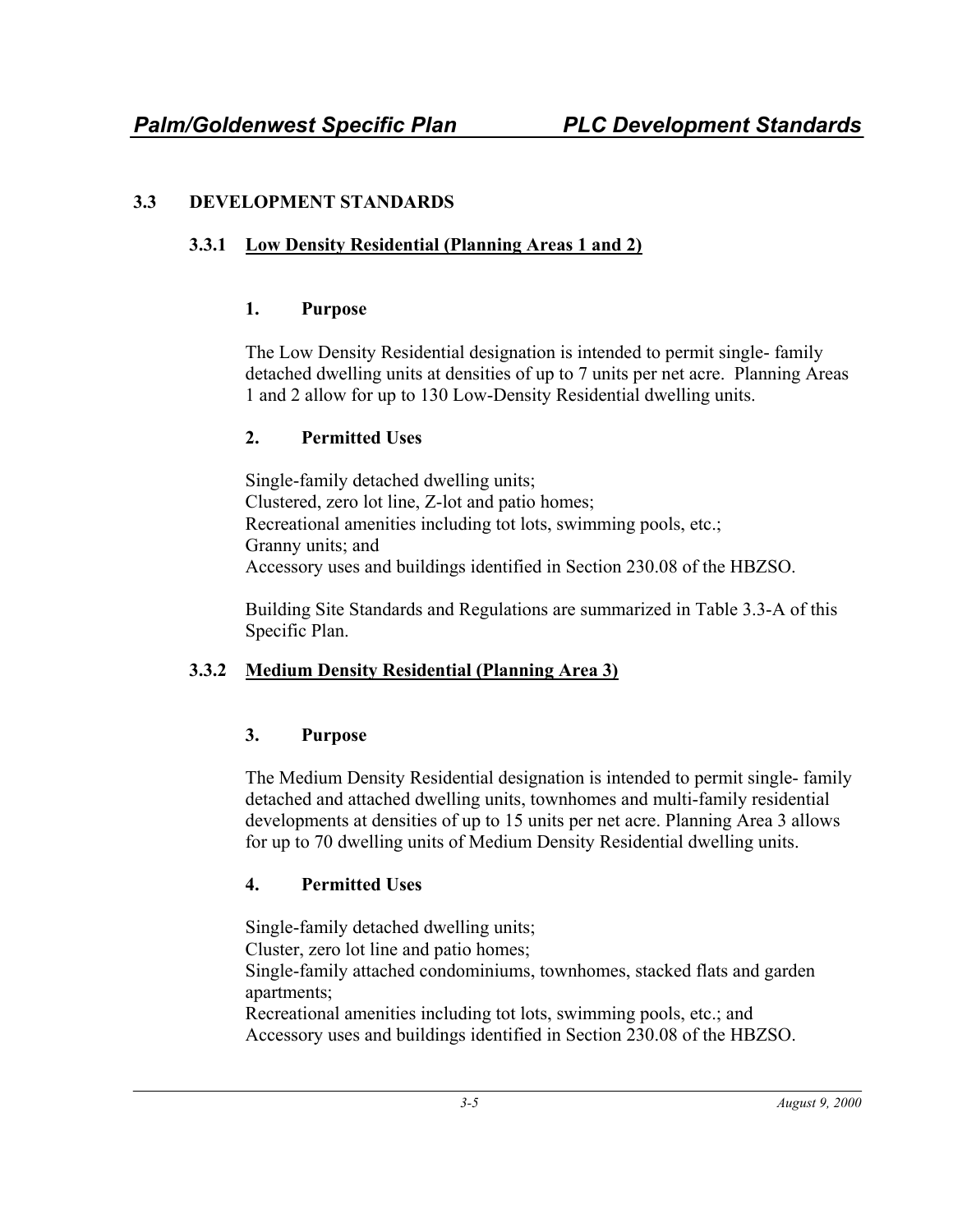## **3.3 DEVELOPMENT STANDARDS**

## **3.3.1 Low Density Residential (Planning Areas 1 and 2)**

## **1. Purpose**

The Low Density Residential designation is intended to permit single- family detached dwelling units at densities of up to 7 units per net acre. Planning Areas 1 and 2 allow for up to 130 Low-Density Residential dwelling units.

## **2. Permitted Uses**

Single-family detached dwelling units; Clustered, zero lot line, Z-lot and patio homes; Recreational amenities including tot lots, swimming pools, etc.; Granny units; and Accessory uses and buildings identified in Section 230.08 of the HBZSO.

Building Site Standards and Regulations are summarized in Table 3.3-A of this Specific Plan.

# **3.3.2 Medium Density Residential (Planning Area 3)**

# **3. Purpose**

The Medium Density Residential designation is intended to permit single- family detached and attached dwelling units, townhomes and multi-family residential developments at densities of up to 15 units per net acre. Planning Area 3 allows for up to 70 dwelling units of Medium Density Residential dwelling units.

# **4. Permitted Uses**

Single-family detached dwelling units;

Cluster, zero lot line and patio homes;

Single-family attached condominiums, townhomes, stacked flats and garden apartments;

Recreational amenities including tot lots, swimming pools, etc.; and Accessory uses and buildings identified in Section 230.08 of the HBZSO.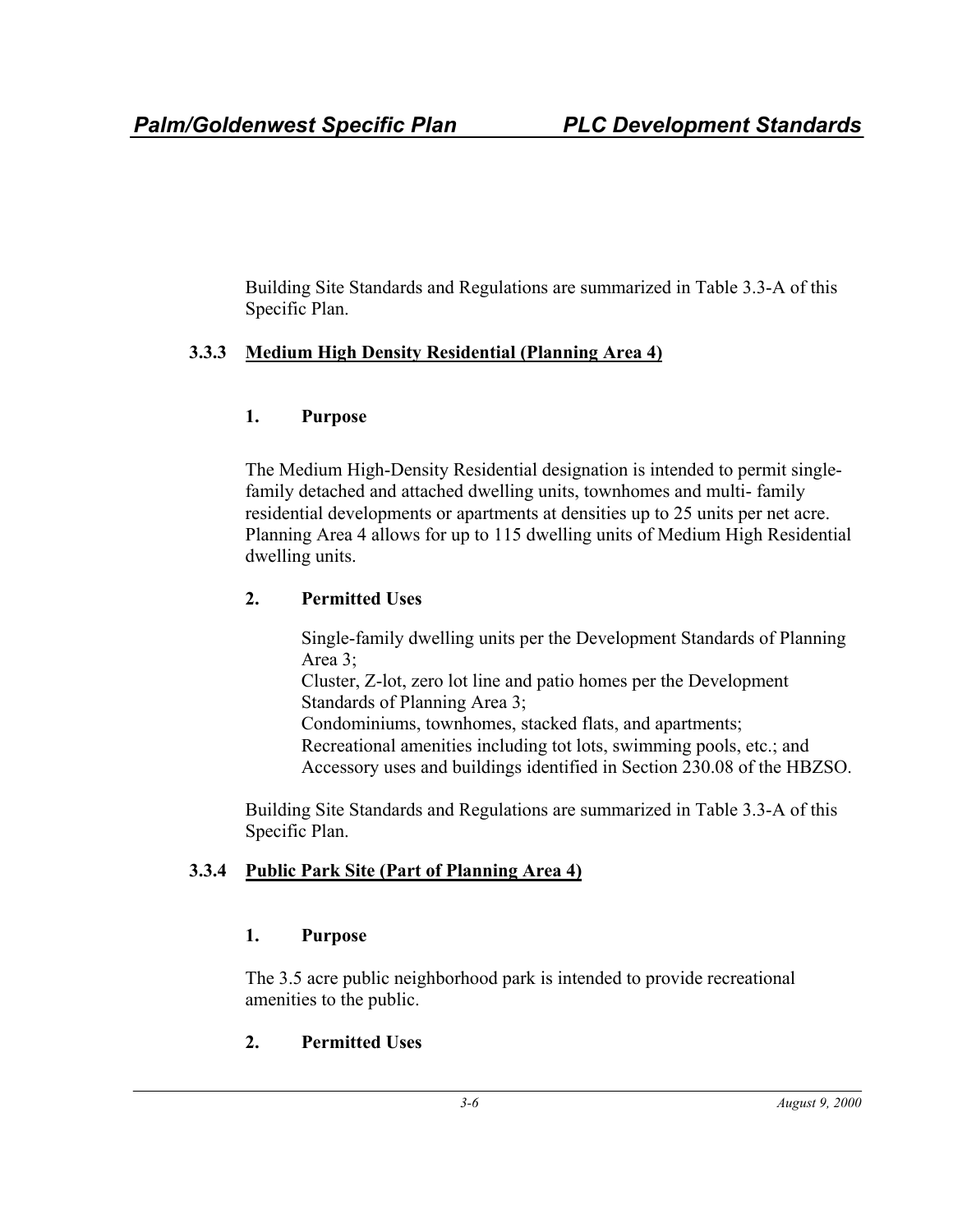Building Site Standards and Regulations are summarized in Table 3.3-A of this Specific Plan.

## **3.3.3 Medium High Density Residential (Planning Area 4)**

## **1. Purpose**

The Medium High-Density Residential designation is intended to permit singlefamily detached and attached dwelling units, townhomes and multi- family residential developments or apartments at densities up to 25 units per net acre. Planning Area 4 allows for up to 115 dwelling units of Medium High Residential dwelling units.

# **2. Permitted Uses**

Single-family dwelling units per the Development Standards of Planning Area 3;

Cluster, Z-lot, zero lot line and patio homes per the Development Standards of Planning Area 3;

Condominiums, townhomes, stacked flats, and apartments; Recreational amenities including tot lots, swimming pools, etc.; and Accessory uses and buildings identified in Section 230.08 of the HBZSO.

Building Site Standards and Regulations are summarized in Table 3.3-A of this Specific Plan.

# **3.3.4 Public Park Site (Part of Planning Area 4)**

## **1. Purpose**

The 3.5 acre public neighborhood park is intended to provide recreational amenities to the public.

# **2. Permitted Uses**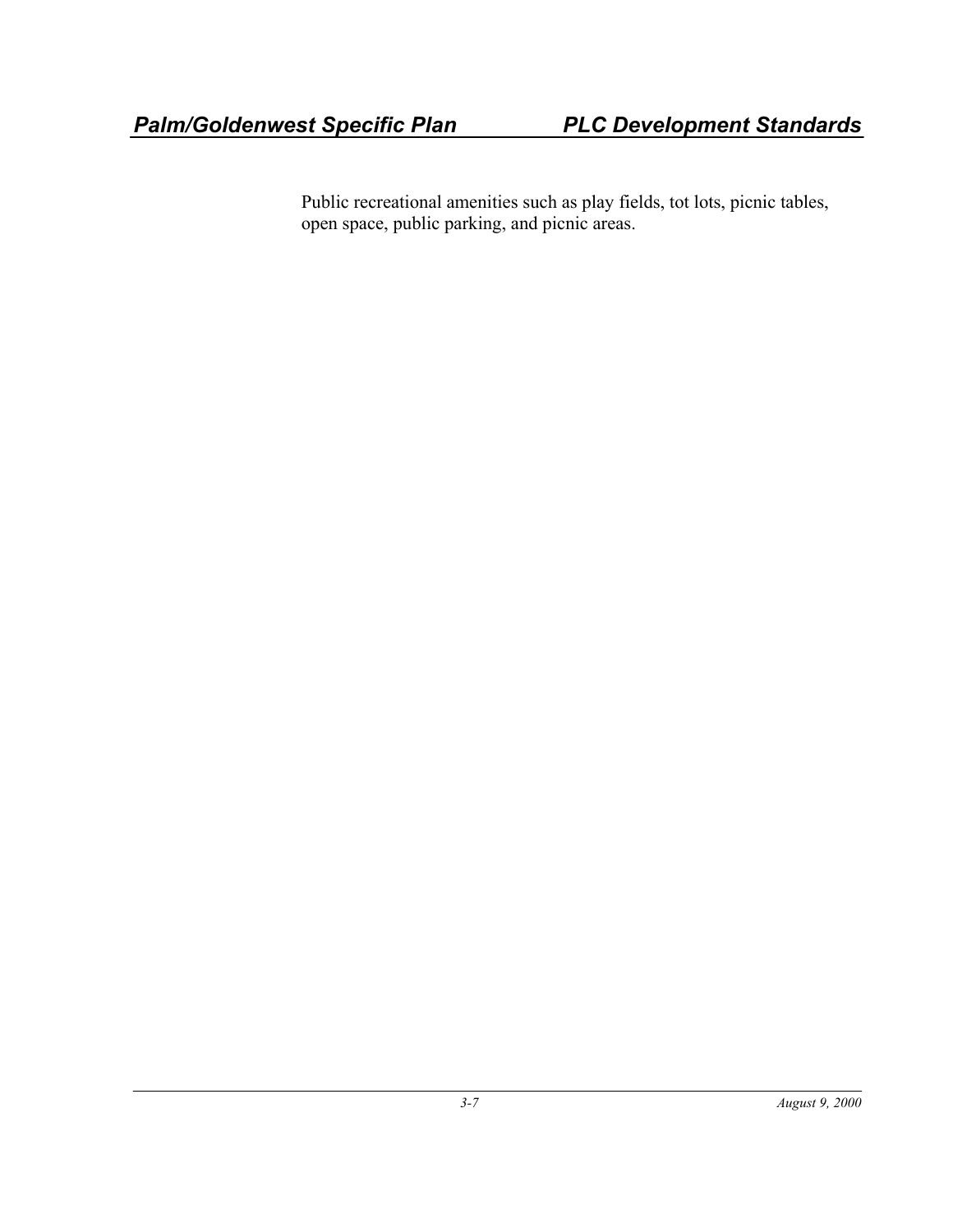Public recreational amenities such as play fields, tot lots, picnic tables, open space, public parking, and picnic areas.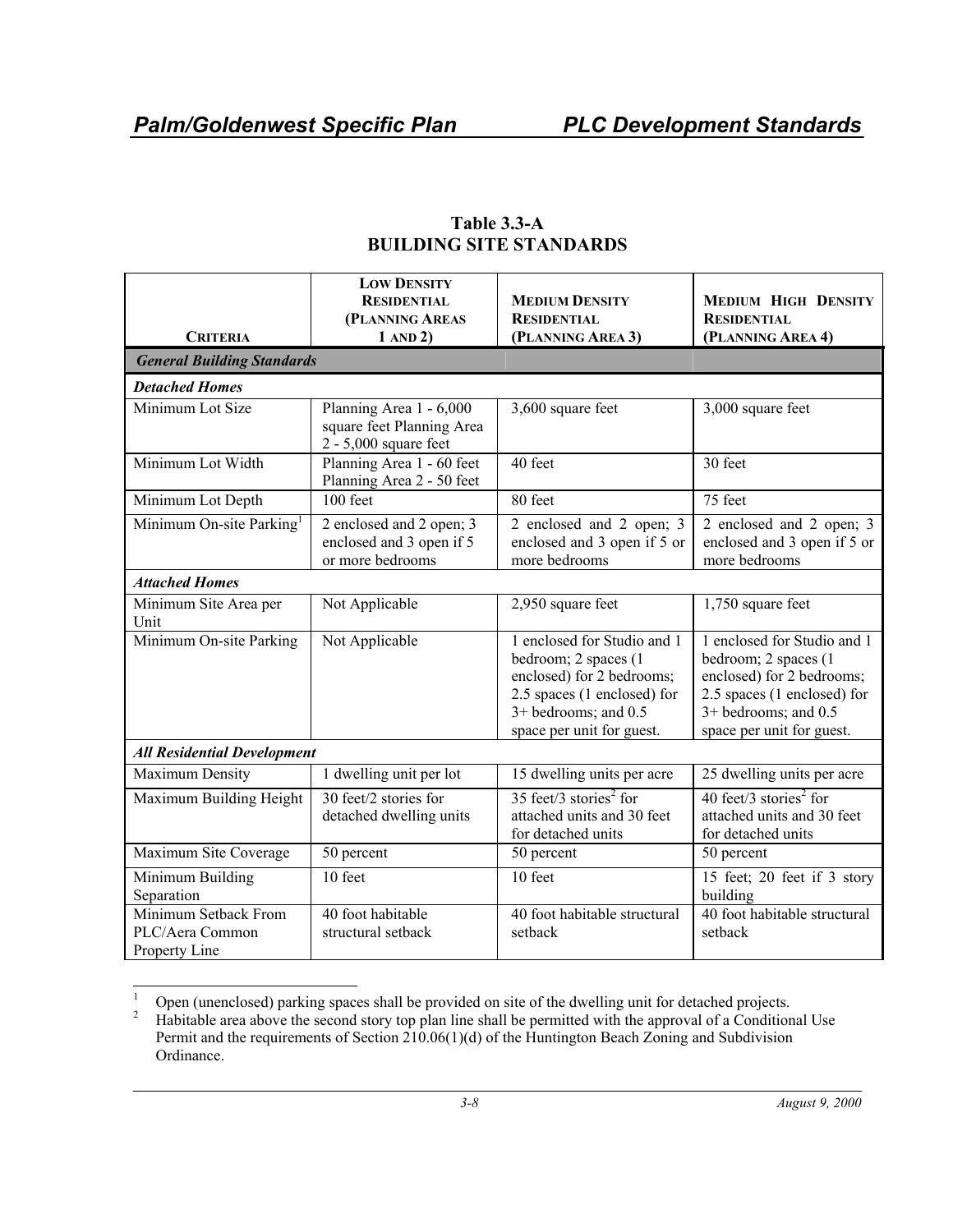| <b>CRITERIA</b>                                          | <b>LOW DENSITY</b><br><b>RESIDENTIAL</b><br>(PLANNING AREAS<br>1 AND 2)       | <b>MEDIUM DENSITY</b><br><b>RESIDENTIAL</b><br>(PLANNING AREA 3)                                                                                                       | <b>MEDIUM HIGH DENSITY</b><br><b>RESIDENTIAL</b><br>(PLANNING AREA 4)                                                                                                  |  |  |  |
|----------------------------------------------------------|-------------------------------------------------------------------------------|------------------------------------------------------------------------------------------------------------------------------------------------------------------------|------------------------------------------------------------------------------------------------------------------------------------------------------------------------|--|--|--|
| <b>General Building Standards</b>                        |                                                                               |                                                                                                                                                                        |                                                                                                                                                                        |  |  |  |
| <b>Detached Homes</b>                                    |                                                                               |                                                                                                                                                                        |                                                                                                                                                                        |  |  |  |
| Minimum Lot Size                                         | Planning Area 1 - 6,000<br>square feet Planning Area<br>2 - 5,000 square feet | 3,600 square feet                                                                                                                                                      | 3,000 square feet                                                                                                                                                      |  |  |  |
| Minimum Lot Width                                        | Planning Area 1 - 60 feet<br>Planning Area 2 - 50 feet                        | 40 feet                                                                                                                                                                | 30 feet                                                                                                                                                                |  |  |  |
| Minimum Lot Depth                                        | 100 feet                                                                      | 80 feet                                                                                                                                                                | 75 feet                                                                                                                                                                |  |  |  |
| Minimum On-site Parking <sup>1</sup>                     | 2 enclosed and 2 open; 3<br>enclosed and 3 open if 5<br>or more bedrooms      | 2 enclosed and 2 open; 3<br>enclosed and 3 open if 5 or<br>more bedrooms                                                                                               | 2 enclosed and 2 open; 3<br>enclosed and 3 open if 5 or<br>more bedrooms                                                                                               |  |  |  |
| <b>Attached Homes</b>                                    |                                                                               |                                                                                                                                                                        |                                                                                                                                                                        |  |  |  |
| Minimum Site Area per<br>Unit                            | Not Applicable                                                                | 2,950 square feet                                                                                                                                                      | 1,750 square feet                                                                                                                                                      |  |  |  |
| Minimum On-site Parking                                  | Not Applicable                                                                | 1 enclosed for Studio and 1<br>bedroom; 2 spaces (1<br>enclosed) for 2 bedrooms;<br>2.5 spaces (1 enclosed) for<br>$3+$ bedrooms; and 0.5<br>space per unit for guest. | 1 enclosed for Studio and 1<br>bedroom; 2 spaces (1<br>enclosed) for 2 bedrooms;<br>2.5 spaces (1 enclosed) for<br>$3+$ bedrooms; and 0.5<br>space per unit for guest. |  |  |  |
| <b>All Residential Development</b>                       |                                                                               |                                                                                                                                                                        |                                                                                                                                                                        |  |  |  |
| <b>Maximum Density</b>                                   | 1 dwelling unit per lot                                                       | 15 dwelling units per acre                                                                                                                                             | 25 dwelling units per acre                                                                                                                                             |  |  |  |
| Maximum Building Height                                  | 30 feet/2 stories for<br>detached dwelling units                              | 35 feet/3 stories <sup>2</sup> for<br>attached units and 30 feet<br>for detached units                                                                                 | 40 feet/3 stories <sup>2</sup> for<br>attached units and 30 feet<br>for detached units                                                                                 |  |  |  |
| Maximum Site Coverage                                    | 50 percent                                                                    | 50 percent                                                                                                                                                             | 50 percent                                                                                                                                                             |  |  |  |
| Minimum Building<br>Separation                           | 10 feet                                                                       | 10 feet                                                                                                                                                                | 15 feet; 20 feet if 3 story<br>building                                                                                                                                |  |  |  |
| Minimum Setback From<br>PLC/Aera Common<br>Property Line | 40 foot habitable<br>structural setback                                       | 40 foot habitable structural<br>setback                                                                                                                                | 40 foot habitable structural<br>setback                                                                                                                                |  |  |  |

#### **Table 3.3-A BUILDING SITE STANDARDS**

 $\frac{1}{1}$ <sup>1</sup> Open (unenclosed) parking spaces shall be provided on site of the dwelling unit for detached projects.<br><sup>2</sup> Habitable area above the second story top plan line shall be permitted with the approval of a Condition

Habitable area above the second story top plan line shall be permitted with the approval of a Conditional Use Permit and the requirements of Section 210.06(1)(d) of the Huntington Beach Zoning and Subdivision Ordinance.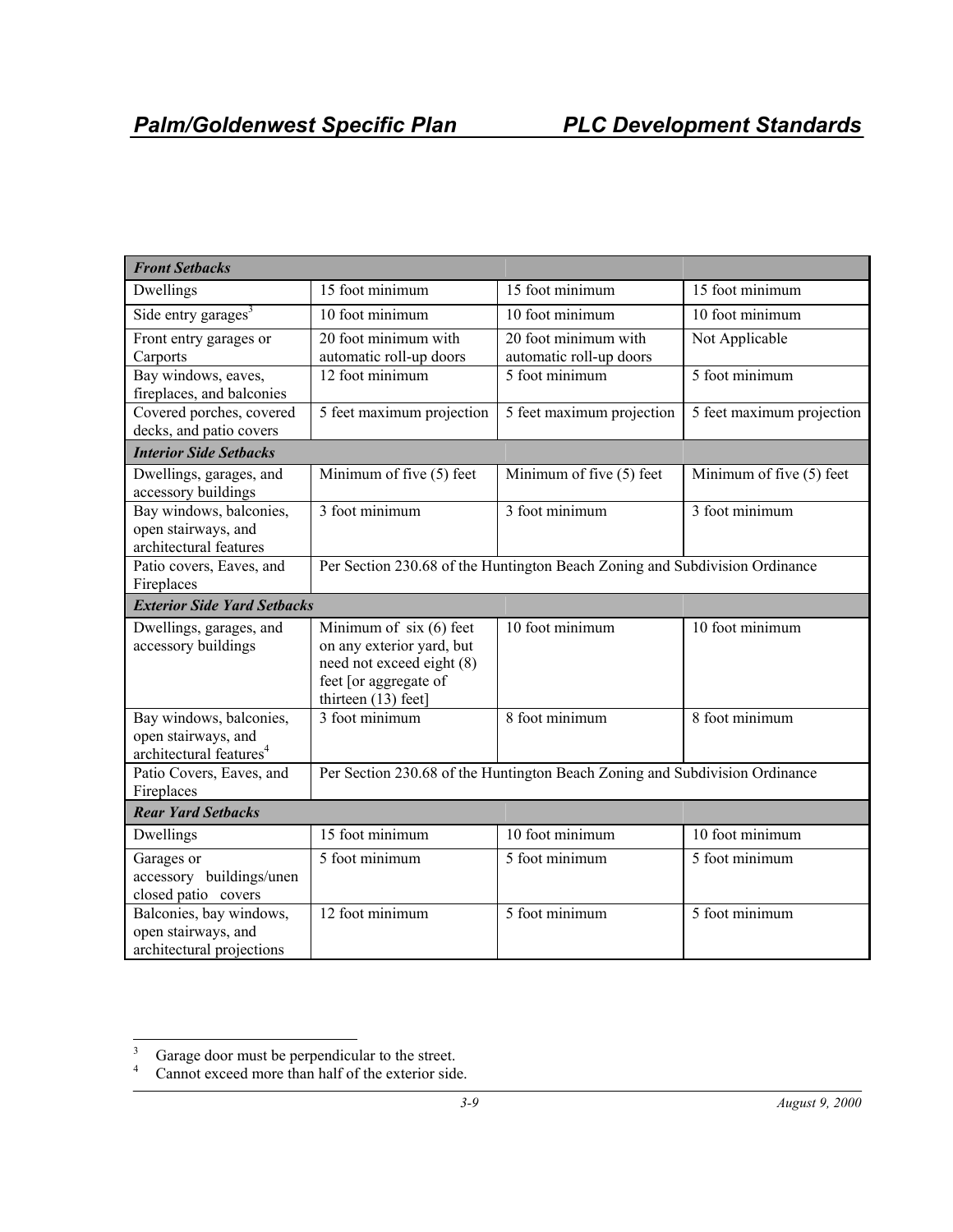| <b>Front Setbacks</b>                                                                 |                                                                                                                                   |                                                                             |                           |
|---------------------------------------------------------------------------------------|-----------------------------------------------------------------------------------------------------------------------------------|-----------------------------------------------------------------------------|---------------------------|
| Dwellings                                                                             | 15 foot minimum                                                                                                                   | 15 foot minimum                                                             | 15 foot minimum           |
| Side entry garages <sup>3</sup>                                                       | 10 foot minimum                                                                                                                   | 10 foot minimum                                                             | 10 foot minimum           |
| Front entry garages or<br>Carports                                                    | 20 foot minimum with<br>automatic roll-up doors                                                                                   | 20 foot minimum with<br>automatic roll-up doors                             | Not Applicable            |
| Bay windows, eaves,<br>fireplaces, and balconies                                      | 12 foot minimum                                                                                                                   | 5 foot minimum                                                              | 5 foot minimum            |
| Covered porches, covered<br>decks, and patio covers                                   | 5 feet maximum projection                                                                                                         | 5 feet maximum projection                                                   | 5 feet maximum projection |
| <b>Interior Side Setbacks</b>                                                         |                                                                                                                                   |                                                                             |                           |
| Dwellings, garages, and<br>accessory buildings                                        | Minimum of five (5) feet                                                                                                          | Minimum of five (5) feet                                                    | Minimum of five (5) feet  |
| Bay windows, balconies,<br>open stairways, and<br>architectural features              | 3 foot minimum                                                                                                                    | 3 foot minimum                                                              | 3 foot minimum            |
| Patio covers, Eaves, and<br>Fireplaces                                                |                                                                                                                                   | Per Section 230.68 of the Huntington Beach Zoning and Subdivision Ordinance |                           |
| <b>Exterior Side Yard Setbacks</b>                                                    |                                                                                                                                   |                                                                             |                           |
| Dwellings, garages, and<br>accessory buildings                                        | Minimum of six (6) feet<br>on any exterior yard, but<br>need not exceed eight (8)<br>feet [or aggregate of<br>thirteen (13) feet] | 10 foot minimum                                                             | 10 foot minimum           |
| Bay windows, balconies,<br>open stairways, and<br>architectural features <sup>4</sup> | 3 foot minimum                                                                                                                    | 8 foot minimum                                                              | 8 foot minimum            |
| Patio Covers, Eaves, and<br>Fireplaces                                                | Per Section 230.68 of the Huntington Beach Zoning and Subdivision Ordinance                                                       |                                                                             |                           |
| <b>Rear Yard Setbacks</b>                                                             |                                                                                                                                   |                                                                             |                           |
| Dwellings                                                                             | 15 foot minimum                                                                                                                   | 10 foot minimum                                                             | 10 foot minimum           |
| Garages or<br>accessory buildings/unen<br>closed patio covers                         | 5 foot minimum                                                                                                                    | 5 foot minimum                                                              | 5 foot minimum            |
| Balconies, bay windows,<br>open stairways, and<br>architectural projections           | 12 foot minimum                                                                                                                   | 5 foot minimum                                                              | 5 foot minimum            |

 3 Garage door must be perpendicular to the street.

<sup>4</sup> Cannot exceed more than half of the exterior side.